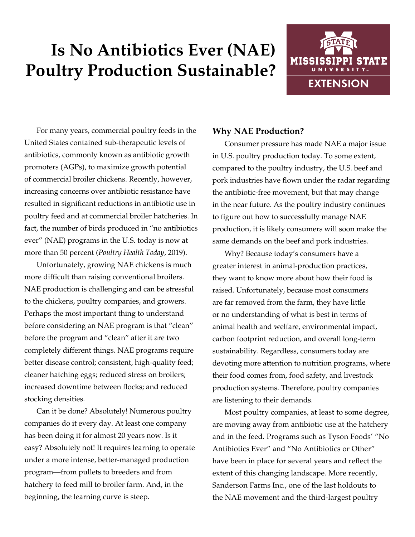# **Is No Antibiotics Ever (NAE) Poultry Production Sustainable?**



For many years, commercial poultry feeds in the United States contained sub-therapeutic levels of antibiotics, commonly known as antibiotic growth promoters (AGPs), to maximize growth potential of commercial broiler chickens. Recently, however, increasing concerns over antibiotic resistance have resulted in significant reductions in antibiotic use in poultry feed and at commercial broiler hatcheries. In fact, the number of birds produced in "no antibiotics ever" (NAE) programs in the U.S. today is now at more than 50 percent (*Poultry Health Today*, 2019).

Unfortunately, growing NAE chickens is much more difficult than raising conventional broilers. NAE production is challenging and can be stressful to the chickens, poultry companies, and growers. Perhaps the most important thing to understand before considering an NAE program is that "clean" before the program and "clean" after it are two completely different things. NAE programs require better disease control; consistent, high-quality feed; cleaner hatching eggs; reduced stress on broilers; increased downtime between flocks; and reduced stocking densities.

Can it be done? Absolutely! Numerous poultry companies do it every day. At least one company has been doing it for almost 20 years now. Is it easy? Absolutely not! It requires learning to operate under a more intense, better-managed production program—from pullets to breeders and from hatchery to feed mill to broiler farm. And, in the beginning, the learning curve is steep.

# **Why NAE Production?**

Consumer pressure has made NAE a major issue in U.S. poultry production today. To some extent, compared to the poultry industry, the U.S. beef and pork industries have flown under the radar regarding the antibiotic-free movement, but that may change in the near future. As the poultry industry continues to figure out how to successfully manage NAE production, it is likely consumers will soon make the same demands on the beef and pork industries.

Why? Because today's consumers have a greater interest in animal-production practices, they want to know more about how their food is raised. Unfortunately, because most consumers are far removed from the farm, they have little or no understanding of what is best in terms of animal health and welfare, environmental impact, carbon footprint reduction, and overall long-term sustainability. Regardless, consumers today are devoting more attention to nutrition programs, where their food comes from, food safety, and livestock production systems. Therefore, poultry companies are listening to their demands.

Most poultry companies, at least to some degree, are moving away from antibiotic use at the hatchery and in the feed. Programs such as Tyson Foods' "No Antibiotics Ever" and "No Antibiotics or Other" have been in place for several years and reflect the extent of this changing landscape. More recently, Sanderson Farms Inc., one of the last holdouts to the NAE movement and the third-largest poultry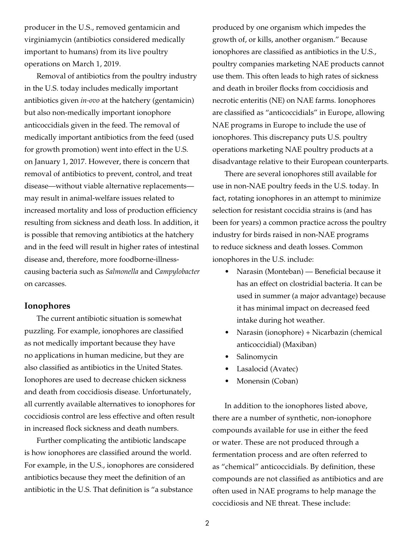producer in the U.S., removed gentamicin and virginiamycin (antibiotics considered medically important to humans) from its live poultry operations on March 1, 2019.

Removal of antibiotics from the poultry industry in the U.S. today includes medically important antibiotics given *in-ovo* at the hatchery (gentamicin) but also non-medically important ionophore anticoccidials given in the feed. The removal of medically important antibiotics from the feed (used for growth promotion) went into effect in the U.S. on January 1, 2017. However, there is concern that removal of antibiotics to prevent, control, and treat disease—without viable alternative replacements may result in animal-welfare issues related to increased mortality and loss of production efficiency resulting from sickness and death loss. In addition, it is possible that removing antibiotics at the hatchery and in the feed will result in higher rates of intestinal disease and, therefore, more foodborne-illnesscausing bacteria such as *Salmonella* and *Campylobacter* on carcasses.

## **Ionophores**

The current antibiotic situation is somewhat puzzling. For example, ionophores are classified as not medically important because they have no applications in human medicine, but they are also classified as antibiotics in the United States. Ionophores are used to decrease chicken sickness and death from coccidiosis disease. Unfortunately, all currently available alternatives to ionophores for coccidiosis control are less effective and often result in increased flock sickness and death numbers.

Further complicating the antibiotic landscape is how ionophores are classified around the world. For example, in the U.S., ionophores are considered antibiotics because they meet the definition of an antibiotic in the U.S. That definition is "a substance

produced by one organism which impedes the growth of, or kills, another organism." Because ionophores are classified as antibiotics in the U.S., poultry companies marketing NAE products cannot use them. This often leads to high rates of sickness and death in broiler flocks from coccidiosis and necrotic enteritis (NE) on NAE farms. Ionophores are classified as "anticoccidials" in Europe, allowing NAE programs in Europe to include the use of ionophores. This discrepancy puts U.S. poultry operations marketing NAE poultry products at a disadvantage relative to their European counterparts.

There are several ionophores still available for use in non-NAE poultry feeds in the U.S. today. In fact, rotating ionophores in an attempt to minimize selection for resistant coccidia strains is (and has been for years) a common practice across the poultry industry for birds raised in non-NAE programs to reduce sickness and death losses. Common ionophores in the U.S. include:

- Narasin (Monteban) Beneficial because it has an effect on clostridial bacteria. It can be used in summer (a major advantage) because it has minimal impact on decreased feed intake during hot weather.
- Narasin (ionophore) + Nicarbazin (chemical anticoccidial) (Maxiban)
- Salinomycin
- Lasalocid (Avatec)
- Monensin (Coban)

In addition to the ionophores listed above, there are a number of synthetic, non-ionophore compounds available for use in either the feed or water. These are not produced through a fermentation process and are often referred to as "chemical" anticoccidials. By definition, these compounds are not classified as antibiotics and are often used in NAE programs to help manage the coccidiosis and NE threat. These include: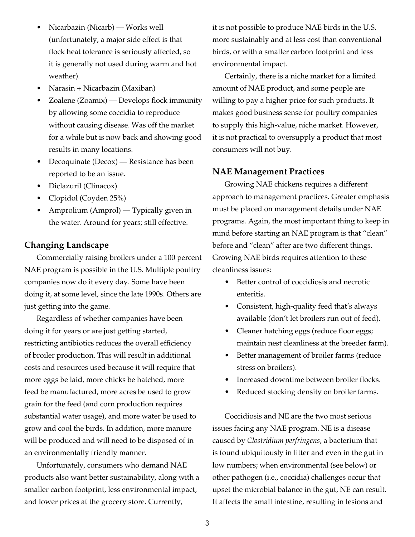- Nicarbazin (Nicarb) Works well (unfortunately, a major side effect is that flock heat tolerance is seriously affected, so it is generally not used during warm and hot weather).
- Narasin + Nicarbazin (Maxiban)
- Zoalene (Zoamix) Develops flock immunity by allowing some coccidia to reproduce without causing disease. Was off the market for a while but is now back and showing good results in many locations.
- Decoquinate (Decox) Resistance has been reported to be an issue.
- Diclazuril (Clinacox)
- Clopidol (Coyden 25%)
- Amprolium (Amprol) Typically given in the water. Around for years; still effective.

#### **Changing Landscape**

Commercially raising broilers under a 100 percent NAE program is possible in the U.S. Multiple poultry companies now do it every day. Some have been doing it, at some level, since the late 1990s. Others are just getting into the game.

Regardless of whether companies have been doing it for years or are just getting started, restricting antibiotics reduces the overall efficiency of broiler production. This will result in additional costs and resources used because it will require that more eggs be laid, more chicks be hatched, more feed be manufactured, more acres be used to grow grain for the feed (and corn production requires substantial water usage), and more water be used to grow and cool the birds. In addition, more manure will be produced and will need to be disposed of in an environmentally friendly manner.

Unfortunately, consumers who demand NAE products also want better sustainability, along with a smaller carbon footprint, less environmental impact, and lower prices at the grocery store. Currently,

it is not possible to produce NAE birds in the U.S. more sustainably and at less cost than conventional birds, or with a smaller carbon footprint and less environmental impact.

Certainly, there is a niche market for a limited amount of NAE product, and some people are willing to pay a higher price for such products. It makes good business sense for poultry companies to supply this high-value, niche market. However, it is not practical to oversupply a product that most consumers will not buy.

#### **NAE Management Practices**

Growing NAE chickens requires a different approach to management practices. Greater emphasis must be placed on management details under NAE programs. Again, the most important thing to keep in mind before starting an NAE program is that "clean" before and "clean" after are two different things. Growing NAE birds requires attention to these cleanliness issues:

- Better control of coccidiosis and necrotic enteritis.
- Consistent, high-quality feed that's always available (don't let broilers run out of feed).
- Cleaner hatching eggs (reduce floor eggs; maintain nest cleanliness at the breeder farm).
- Better management of broiler farms (reduce stress on broilers).
- Increased downtime between broiler flocks.
- Reduced stocking density on broiler farms.

Coccidiosis and NE are the two most serious issues facing any NAE program. NE is a disease caused by *Clostridium perfringens*, a bacterium that is found ubiquitously in litter and even in the gut in low numbers; when environmental (see below) or other pathogen (i.e., coccidia) challenges occur that upset the microbial balance in the gut, NE can result. It affects the small intestine, resulting in lesions and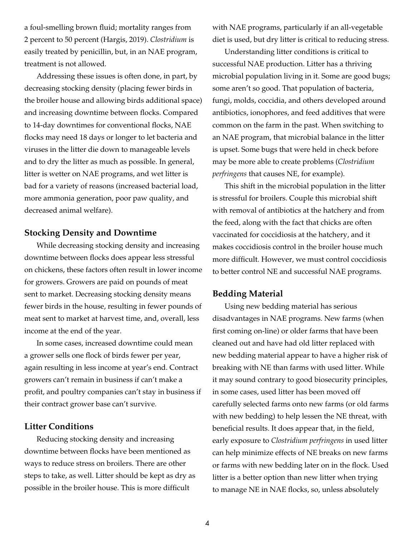a foul-smelling brown fluid; mortality ranges from 2 percent to 50 percent (Hargis, 2019). *Clostridium* is easily treated by penicillin, but, in an NAE program, treatment is not allowed.

Addressing these issues is often done, in part, by decreasing stocking density (placing fewer birds in the broiler house and allowing birds additional space) and increasing downtime between flocks. Compared to 14-day downtimes for conventional flocks, NAE flocks may need 18 days or longer to let bacteria and viruses in the litter die down to manageable levels and to dry the litter as much as possible. In general, litter is wetter on NAE programs, and wet litter is bad for a variety of reasons (increased bacterial load, more ammonia generation, poor paw quality, and decreased animal welfare).

## **Stocking Density and Downtime**

While decreasing stocking density and increasing downtime between flocks does appear less stressful on chickens, these factors often result in lower income for growers. Growers are paid on pounds of meat sent to market. Decreasing stocking density means fewer birds in the house, resulting in fewer pounds of meat sent to market at harvest time, and, overall, less income at the end of the year.

In some cases, increased downtime could mean a grower sells one flock of birds fewer per year, again resulting in less income at year's end. Contract growers can't remain in business if can't make a profit, and poultry companies can't stay in business if their contract grower base can't survive.

#### **Litter Conditions**

Reducing stocking density and increasing downtime between flocks have been mentioned as ways to reduce stress on broilers. There are other steps to take, as well. Litter should be kept as dry as possible in the broiler house. This is more difficult

with NAE programs, particularly if an all-vegetable diet is used, but dry litter is critical to reducing stress.

Understanding litter conditions is critical to successful NAE production. Litter has a thriving microbial population living in it. Some are good bugs; some aren't so good. That population of bacteria, fungi, molds, coccidia, and others developed around antibiotics, ionophores, and feed additives that were common on the farm in the past. When switching to an NAE program, that microbial balance in the litter is upset. Some bugs that were held in check before may be more able to create problems (*Clostridium perfringens* that causes NE, for example).

This shift in the microbial population in the litter is stressful for broilers. Couple this microbial shift with removal of antibiotics at the hatchery and from the feed, along with the fact that chicks are often vaccinated for coccidiosis at the hatchery, and it makes coccidiosis control in the broiler house much more difficult. However, we must control coccidiosis to better control NE and successful NAE programs.

# **Bedding Material**

Using new bedding material has serious disadvantages in NAE programs. New farms (when first coming on-line) or older farms that have been cleaned out and have had old litter replaced with new bedding material appear to have a higher risk of breaking with NE than farms with used litter. While it may sound contrary to good biosecurity principles, in some cases, used litter has been moved off carefully selected farms onto new farms (or old farms with new bedding) to help lessen the NE threat, with beneficial results. It does appear that, in the field, early exposure to *Clostridium perfringens* in used litter can help minimize effects of NE breaks on new farms or farms with new bedding later on in the flock. Used litter is a better option than new litter when trying to manage NE in NAE flocks, so, unless absolutely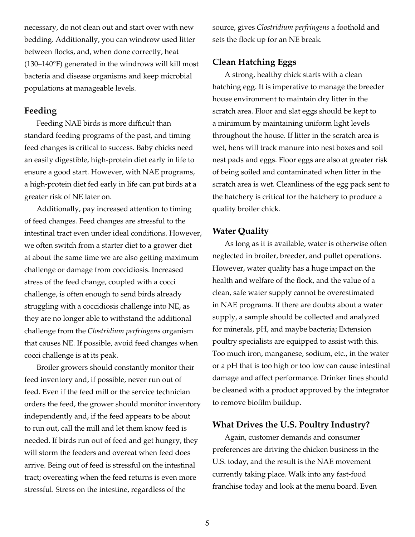necessary, do not clean out and start over with new bedding. Additionally, you can windrow used litter between flocks, and, when done correctly, heat (130–140°F) generated in the windrows will kill most bacteria and disease organisms and keep microbial populations at manageable levels.

## **Feeding**

Feeding NAE birds is more difficult than standard feeding programs of the past, and timing feed changes is critical to success. Baby chicks need an easily digestible, high-protein diet early in life to ensure a good start. However, with NAE programs, a high-protein diet fed early in life can put birds at a greater risk of NE later on.

Additionally, pay increased attention to timing of feed changes. Feed changes are stressful to the intestinal tract even under ideal conditions. However, we often switch from a starter diet to a grower diet at about the same time we are also getting maximum challenge or damage from coccidiosis. Increased stress of the feed change, coupled with a cocci challenge, is often enough to send birds already struggling with a coccidiosis challenge into NE, as they are no longer able to withstand the additional challenge from the *Clostridium perfringens* organism that causes NE. If possible, avoid feed changes when cocci challenge is at its peak.

Broiler growers should constantly monitor their feed inventory and, if possible, never run out of feed. Even if the feed mill or the service technician orders the feed, the grower should monitor inventory independently and, if the feed appears to be about to run out, call the mill and let them know feed is needed. If birds run out of feed and get hungry, they will storm the feeders and overeat when feed does arrive. Being out of feed is stressful on the intestinal tract; overeating when the feed returns is even more stressful. Stress on the intestine, regardless of the

source, gives *Clostridium perfringens* a foothold and sets the flock up for an NE break.

# **Clean Hatching Eggs**

A strong, healthy chick starts with a clean hatching egg. It is imperative to manage the breeder house environment to maintain dry litter in the scratch area. Floor and slat eggs should be kept to a minimum by maintaining uniform light levels throughout the house. If litter in the scratch area is wet, hens will track manure into nest boxes and soil nest pads and eggs. Floor eggs are also at greater risk of being soiled and contaminated when litter in the scratch area is wet. Cleanliness of the egg pack sent to the hatchery is critical for the hatchery to produce a quality broiler chick.

## **Water Quality**

As long as it is available, water is otherwise often neglected in broiler, breeder, and pullet operations. However, water quality has a huge impact on the health and welfare of the flock, and the value of a clean, safe water supply cannot be overestimated in NAE programs. If there are doubts about a water supply, a sample should be collected and analyzed for minerals, pH, and maybe bacteria; Extension poultry specialists are equipped to assist with this. Too much iron, manganese, sodium, etc., in the water or a pH that is too high or too low can cause intestinal damage and affect performance. Drinker lines should be cleaned with a product approved by the integrator to remove biofilm buildup.

## **What Drives the U.S. Poultry Industry?**

Again, customer demands and consumer preferences are driving the chicken business in the U.S. today, and the result is the NAE movement currently taking place. Walk into any fast-food franchise today and look at the menu board. Even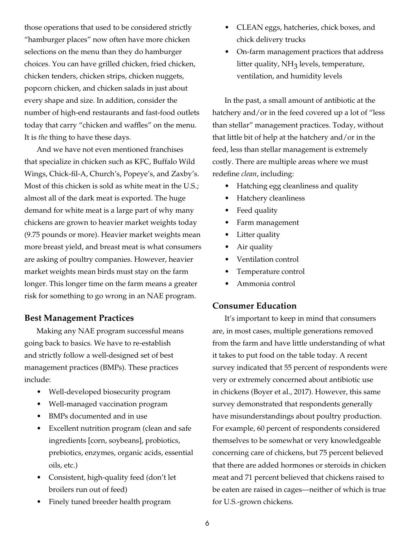those operations that used to be considered strictly "hamburger places" now often have more chicken selections on the menu than they do hamburger choices. You can have grilled chicken, fried chicken, chicken tenders, chicken strips, chicken nuggets, popcorn chicken, and chicken salads in just about every shape and size. In addition, consider the number of high-end restaurants and fast-food outlets today that carry "chicken and waffles" on the menu. It is *the* thing to have these days.

And we have not even mentioned franchises that specialize in chicken such as KFC, Buffalo Wild Wings, Chick-fil-A, Church's, Popeye's, and Zaxby's. Most of this chicken is sold as white meat in the U.S.; almost all of the dark meat is exported. The huge demand for white meat is a large part of why many chickens are grown to heavier market weights today (9.75 pounds or more). Heavier market weights mean more breast yield, and breast meat is what consumers are asking of poultry companies. However, heavier market weights mean birds must stay on the farm longer. This longer time on the farm means a greater risk for something to go wrong in an NAE program.

# **Best Management Practices**

Making any NAE program successful means going back to basics. We have to re-establish and strictly follow a well-designed set of best management practices (BMPs). These practices include:

- Well-developed biosecurity program
- Well-managed vaccination program
- BMPs documented and in use
- Excellent nutrition program (clean and safe ingredients [corn, soybeans], probiotics, prebiotics, enzymes, organic acids, essential oils, etc.)
- Consistent, high-quality feed (don't let broilers run out of feed)
- Finely tuned breeder health program
- CLEAN eggs, hatcheries, chick boxes, and chick delivery trucks
- On-farm management practices that address litter quality,  $NH<sub>3</sub>$  levels, temperature, ventilation, and humidity levels

In the past, a small amount of antibiotic at the hatchery and/or in the feed covered up a lot of "less than stellar" management practices. Today, without that little bit of help at the hatchery and/or in the feed, less than stellar management is extremely costly. There are multiple areas where we must redefine *clean*, including:

- Hatching egg cleanliness and quality
- Hatchery cleanliness
- Feed quality
- Farm management
- Litter quality
- Air quality
- Ventilation control
- Temperature control
- Ammonia control

# **Consumer Education**

It's important to keep in mind that consumers are, in most cases, multiple generations removed from the farm and have little understanding of what it takes to put food on the table today. A recent survey indicated that 55 percent of respondents were very or extremely concerned about antibiotic use in chickens (Boyer et al., 2017). However, this same survey demonstrated that respondents generally have misunderstandings about poultry production. For example, 60 percent of respondents considered themselves to be somewhat or very knowledgeable concerning care of chickens, but 75 percent believed that there are added hormones or steroids in chicken meat and 71 percent believed that chickens raised to be eaten are raised in cages—neither of which is true for U.S.-grown chickens.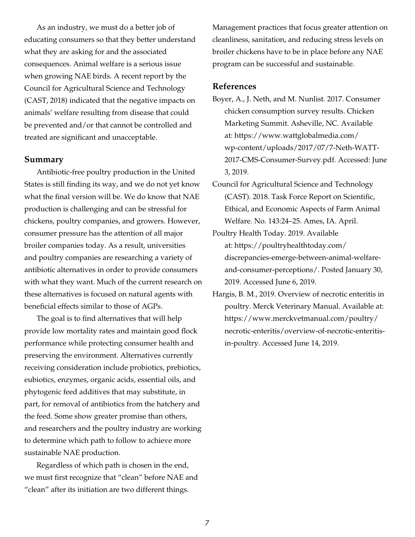As an industry, we must do a better job of educating consumers so that they better understand what they are asking for and the associated consequences. Animal welfare is a serious issue when growing NAE birds. A recent report by the Council for Agricultural Science and Technology (CAST, 2018) indicated that the negative impacts on animals' welfare resulting from disease that could be prevented and/or that cannot be controlled and treated are significant and unacceptable.

#### **Summary**

Antibiotic-free poultry production in the United States is still finding its way, and we do not yet know what the final version will be. We do know that NAE production is challenging and can be stressful for chickens, poultry companies, and growers. However, consumer pressure has the attention of all major broiler companies today. As a result, universities and poultry companies are researching a variety of antibiotic alternatives in order to provide consumers with what they want. Much of the current research on these alternatives is focused on natural agents with beneficial effects similar to those of AGPs.

The goal is to find alternatives that will help provide low mortality rates and maintain good flock performance while protecting consumer health and preserving the environment. Alternatives currently receiving consideration include probiotics, prebiotics, eubiotics, enzymes, organic acids, essential oils, and phytogenic feed additives that may substitute, in part, for removal of antibiotics from the hatchery and the feed. Some show greater promise than others, and researchers and the poultry industry are working to determine which path to follow to achieve more sustainable NAE production.

Regardless of which path is chosen in the end, we must first recognize that "clean" before NAE and "clean" after its initiation are two different things.

Management practices that focus greater attention on cleanliness, sanitation, and reducing stress levels on broiler chickens have to be in place before any NAE program can be successful and sustainable.

#### **References**

- Boyer, A., J. Neth, and M. Nunlist. 2017. Consumer chicken consumption survey results. Chicken Marketing Summit. Asheville, NC. Available at: [https://www.wattglobalmedia.com/](https://www.wattglobalmedia.com/wp-content/uploads/2017/07/7-Neth-WATT-2017-CMS-Consumer-Survey.pdf) [wp-content/uploads/2017/07/7-Neth-WATT-](https://www.wattglobalmedia.com/wp-content/uploads/2017/07/7-Neth-WATT-2017-CMS-Consumer-Survey.pdf)[2017-CMS-Consumer-Survey.pdf](https://www.wattglobalmedia.com/wp-content/uploads/2017/07/7-Neth-WATT-2017-CMS-Consumer-Survey.pdf). Accessed: June 3, 2019.
- Council for Agricultural Science and Technology (CAST). 2018. Task Force Report on Scientific, Ethical, and Economic Aspects of Farm Animal Welfare. No. 143:24–25. Ames, IA. April.
- Poultry Health Today. 2019. Available at: [https://poultryhealthtoday.com/](https://poultryhealthtoday.com/discrepancies-emerge-between-animal-welfare-and-consumer-perceptions/) [discrepancies-emerge-between-animal-welfare](https://poultryhealthtoday.com/discrepancies-emerge-between-animal-welfare-and-consumer-perceptions/)[and-consumer-perceptions/.](https://poultryhealthtoday.com/discrepancies-emerge-between-animal-welfare-and-consumer-perceptions/) Posted January 30, 2019. Accessed June 6, 2019.
- Hargis, B. M., 2019. Overview of necrotic enteritis in poultry. Merck Veterinary Manual. Available at: [https://www.merckvetmanual.com/poultry/](https://www.merckvetmanual.com/poultry/necrotic-enteritis/overview-of-necrotic-enteritis-in-poultry) [necrotic-enteritis/overview-of-necrotic-enteritis](https://www.merckvetmanual.com/poultry/necrotic-enteritis/overview-of-necrotic-enteritis-in-poultry)[in-poultry](https://www.merckvetmanual.com/poultry/necrotic-enteritis/overview-of-necrotic-enteritis-in-poultry). Accessed June 14, 2019.